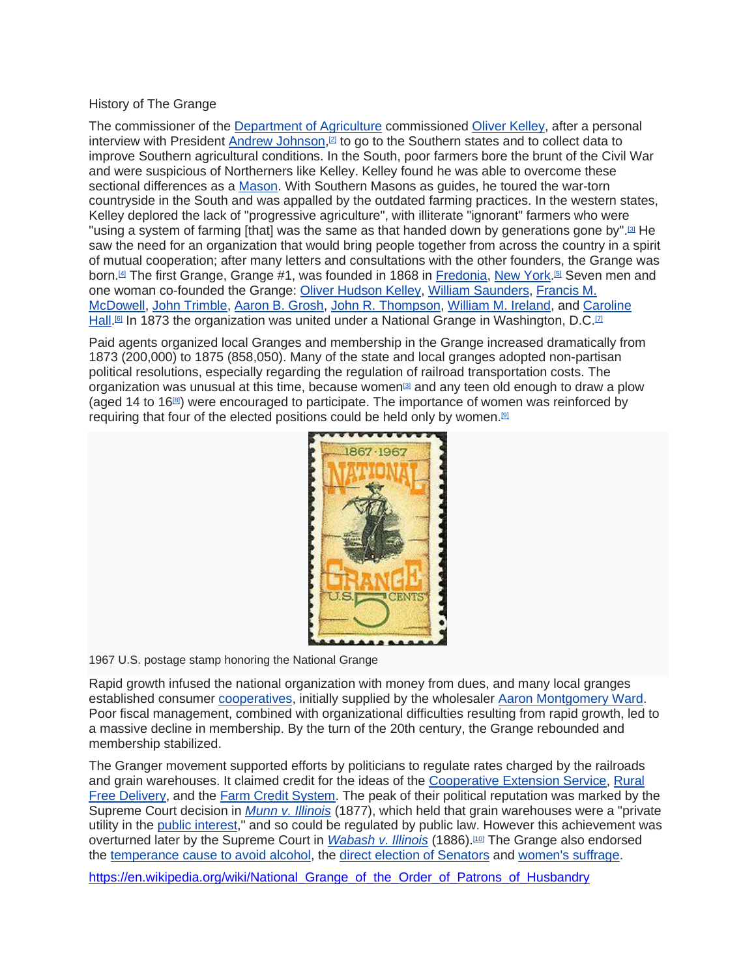## History of The Grange

The commissioner of the Department of Agriculture commissioned Oliver Kelley, after a personal interview with President Andrew Johnson,<sup>[2]</sup> to go to the Southern states and to collect data to improve Southern agricultural conditions. In the South, poor farmers bore the brunt of the Civil War and were suspicious of Northerners like Kelley. Kelley found he was able to overcome these sectional differences as a Mason. With Southern Masons as guides, he toured the war-torn countryside in the South and was appalled by the outdated farming practices. In the western states, Kelley deplored the lack of "progressive agriculture", with illiterate "ignorant" farmers who were "using a system of farming [that] was the same as that handed down by generations gone by".<sup>[3]</sup> He saw the need for an organization that would bring people together from across the country in a spirit of mutual cooperation; after many letters and consultations with the other founders, the Grange was born.<sup>ผு</sup> The first Grange, Grange #1, was founded in 1868 in <u>Fredonia, New York.</u>ங Seven men and one woman co-founded the Grange: Oliver Hudson Kelley, William Saunders, Francis M. McDowell, John Trimble, Aaron B. Grosh, John R. Thompson, William M. Ireland, and Caroline <u>Hall.</u><sup>iേ</sup> In 1873 the organization was united under a National Grange in Washington, D.C.⊡

Paid agents organized local Granges and membership in the Grange increased dramatically from 1873 (200,000) to 1875 (858,050). Many of the state and local granges adopted non-partisan political resolutions, especially regarding the regulation of railroad transportation costs. The organization was unusual at this time, because women $\mathbb{S}$  and any teen old enough to draw a plow (aged 14 to 16 $[8]$ ) were encouraged to participate. The importance of women was reinforced by requiring that four of the elected positions could be held only by women.<sup>[9]</sup>



1967 U.S. postage stamp honoring the National Grange

Rapid growth infused the national organization with money from dues, and many local granges established consumer cooperatives, initially supplied by the wholesaler Aaron Montgomery Ward. Poor fiscal management, combined with organizational difficulties resulting from rapid growth, led to a massive decline in membership. By the turn of the 20th century, the Grange rebounded and membership stabilized.

The Granger movement supported efforts by politicians to regulate rates charged by the railroads and grain warehouses. It claimed credit for the ideas of the Cooperative Extension Service, Rural Free Delivery, and the Farm Credit System. The peak of their political reputation was marked by the Supreme Court decision in *Munn v. Illinois* (1877), which held that grain warehouses were a "private utility in the public interest," and so could be regulated by public law. However this achievement was overturned later by the Supreme Court in *Wabash v. Illinois* (1886).<sup>[10]</sup> The Grange also endorsed the temperance cause to avoid alcohol, the direct election of Senators and women's suffrage.

https://en.wikipedia.org/wiki/National Grange of the Order of Patrons of Husbandry